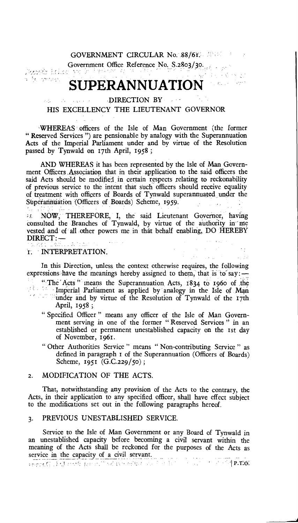Pay Car Pay Pay

 $\label{eq:2.1} \mathcal{L}_{\text{max}} = \frac{1}{2} \left( \mathcal{L}_{\text{max}} + \mathcal{L}_{\text{max}} + \mathcal{L}_{\text{max}} \right)$ 

 $\sim$   $\sim$ Line 2

Government Office Reference No. S.2803/30.

a fa mores.

# **SUPERANNUATION**

#### DIRECTION BY الأنابين والمتعارف الرئيل HIS EXCELLENCY THE LIEUTENANT GOVERNOR

-WHEREAS officers of the Isle of Man Government (the former " Reserved Services ") are pensionable by analogy with the Superannuation Acts of the Imperial Parliament under and by virtue of the Resolution passed by Tynwald on 17th April, 1958 ;

AND WHEREAS it has been represented by the Isle of Man Government Officers Association that in their application to the said officers the said Acts should be modified, in certain respects relating to reckonability of previous service to the intent that such officers should receive equality of treatment with officers of Boards of Tynwald superannuated under the Superannuation (Officers of Boards) Scheme, 1959.

*;s* NOW, THEREFORE, I, the said Lieutenant Governor, having consulted the Branches of Tynwald, by virtue of the authority in me vested and of all other powers me in that behalf enabling, DO HEREBY  $DIRECT: -$ 

1. INTERPRETATION.

In this Direction, unless the context otherwise requires, the following expressions have the meanings hereby assigned to them, that is to say:  $-$ " The 'Acts " means the Superannuation. Acts, 1834 to 196o of the If Imperial Parliament as applied by analogy in the Isle of Man under and by virtue of the Resolution of Tynwald of the 17th April, 1958 ;

- " Specified Officer " means any officer of the Isle of Man Government serving in one of the former " Reserved Services " in an established or permanent unestablished capacity on the 1st day of November, 1961.
- " Other Authorities Service " means " Non-contributing Service " as defined in paragraph t of the Superannuation (Officers of Boards) Scheme, 1951 (G.C.229/5o) ;

### 2. MODIFICATION OF THE ACTS.

That, notwithstanding any provision of the Acts to the contrary, the Acts, in their application to any specified officer, shall have effect subject to the modifications set out in the following paragraphs hereof.

#### 3. PREVIOUS UNESTABLISHED SERVICE.

Service to the Isle of Man Government or any Board of Tynwald in an unestablished capacity before becoming a civil servant within the meaning of the Acts shall be reckoned for the purposes of the Acts as service in the capacity of a civil servant.